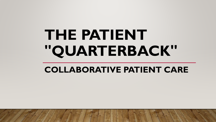# **THE PATIENT "QUARTERBACK"**

# **COLLABORATIVE PATIENT CARE**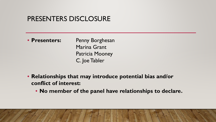#### PRESENTERS DISCLOSURE

- Presenters: Penny Borghesan Marina Grant Patricia Mooney C. Joe Tabler
- **Relationships that may introduce potential bias and/or conflict of interest:**
	- **No member of the panel have relationships to declare.**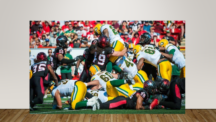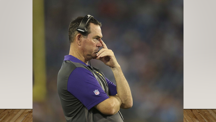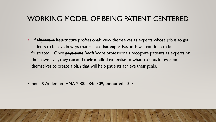#### WORKING MODEL OF BEING PATIENT CENTERED

• "If physicians *healthcare* professionals view themselves as experts whose job is to get patients to behave in ways that reflect that expertise, both will continue to be frustrated…Once physicians *healthcare* professionals recognize patients as experts on their own lives, they can add their medical expertise to what patients know about themselves to create a plan that will help patients achieve their goals."

Funnell & Anderson JAMA 2000;284:1709; annotated 2017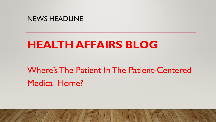#### NEWS HEADLINE

# **HEALTH AFFAIRS BLOG**

Where's The Patient In The Patient-Centered Medical Home?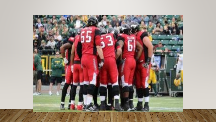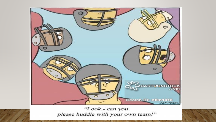

"Look - can you please huddle with your own team!"

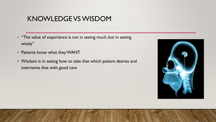#### KNOWLEDGE VS WISDOM

- "The value of experience is not in seeing much, but in seeing wisely"
- Patients know what they WANT
- Wisdom is in seeing how to take that which patient desires and intertwine that with good care

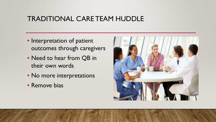#### TRADITIONAL CARE TEAM HUDDLE

- Interpretation of patient outcomes through caregivers
- Need to hear from QB in their own words
- No more interpretations
- Remove bias

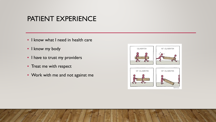#### PATIENT EXPERIENCE

- I know what I need in health care
- I know my body
- I have to trust my providers
- Treat me with respect
- Work with me and not against me

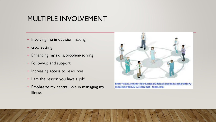#### MULTIPLE INVOLVEMENT

- Involving me in decision making
- Goal setting
- Enhancing my skills, problem-solving
- Follow-up and support
- Increasing access to resources
- I am the reason you have a job!
- Emphasize my central role in managing my illness



http://whsc.emory.edu/home/publications/medicine/emorymedicine/fall2012/img/pg8\_team.jpg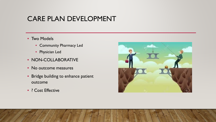#### CARE PLAN DEVELOPMENT

- Two Models
	- Community Pharmacy Led
	- Physician Led
- NON-COLLABORATIVE
- No outcome measures
- Bridge building to enhance patient outcome
- ? Cost Effective

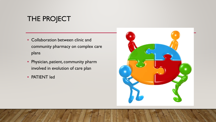## THE PROJECT

- Collaboration between clinic and community pharmacy on complex care plans
- Physician, patient, community pharm involved in evolution of care plan
- PATIENT led

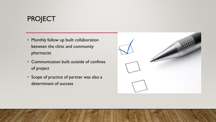## PROJECT

- Monthly follow up built collaboration between the clinic and community pharmacist
- Communication built outside of confines of project
- Scope of practice of partner was also a determinant of success

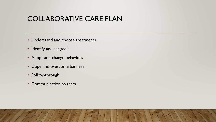#### COLLABORATIVE CARE PLAN

- Understand and choose treatments
- Identify and set goals
- Adopt and change behaviors
- Cope and overcome barriers
- Follow-through
- Communication to team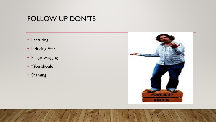#### FOLLOW UP DON'TS

- Lecturing
- Inducing Fear
- Finger-wagging
- "You should"
- Shaming

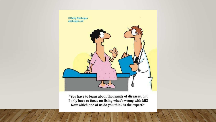

"You have to learn about thousands of diseases, but I only have to focus on fixing what's wrong with ME! Now which one of us do you think is the expert?"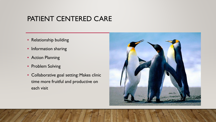#### PATIENT CENTERED CARE

- Relationship building
- Information sharing
- Action Planning
- Problem Solving
- Collaborative goal setting: Makes clinic time more fruitful and productive on each visit

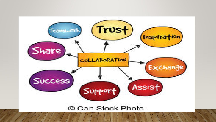

#### © Can Stock Photo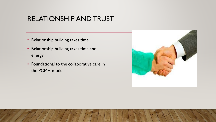#### RELATIONSHIP AND TRUST

- Relationship building takes time
- Relationship building takes time and energy
- Foundational to the collaborative care in the PCMH model

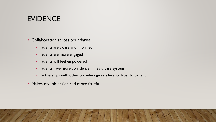#### EVIDENCE

- Collaboration across boundaries:
	- Patients are aware and informed
	- Patients are more engaged
	- Patients will feel empowered
	- Patients have more confidence in healthcare system
	- Partnerships with other providers gives a level of trust to patient
- Makes my job easier and more fruitful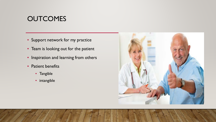#### **OUTCOMES**

- Support network for my practice
- Team is looking out for the patient
- Inspiration and learning from others
- Patient benefits
	- Tangible
	- intangible

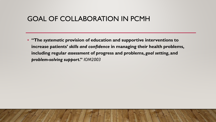#### GOAL OF COLLABORATION IN PCMH

• **"The** *systematic* **provision of education and supportive interventions to increase patients'** *skills and confidence* **in managing their health problems, including regular** *assessment* **of progress and problems,** *goal setting***, and**  *problem-solving support***."** *IOM2003*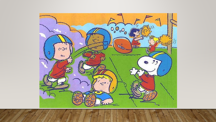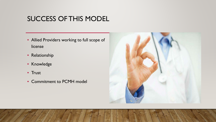#### SUCCESS OF THIS MODEL

- Allied Providers working to full scope of license
- Relationship
- Knowledge
- Trust
- Commitment to PCMH model

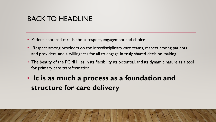#### BACK TO HEADLINE

- Patient-centered care is about respect, engagement and choice
- Respect among providers on the interdisciplinary care teams, respect among patients and providers, and a willingness for all to engage in truly shared decision making
- The beauty of the PCMH lies in its flexibility, its potential, and its dynamic nature as a tool for primary care transformation

# • **It is as much a process as a foundation and structure for care delivery**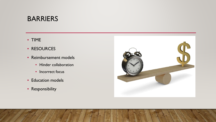#### BARRIERS

- TIME
- RESOURCES
- Reimbursement models
	- Hinder collaboration
	- Incorrect focus
- Education models
- Responsibility

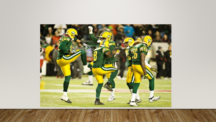